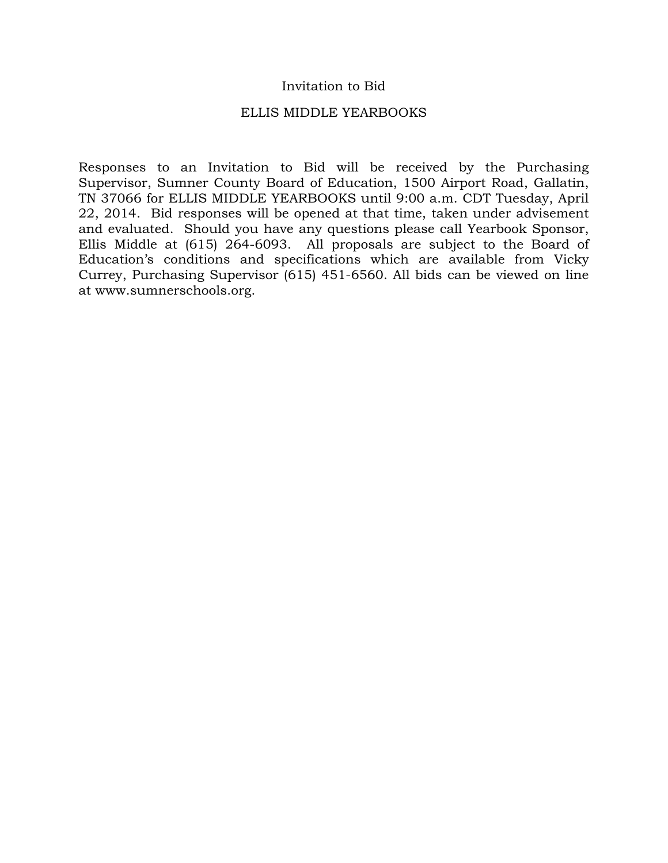## Invitation to Bid

### ELLIS MIDDLE YEARBOOKS

Responses to an Invitation to Bid will be received by the Purchasing Supervisor, Sumner County Board of Education, 1500 Airport Road, Gallatin, TN 37066 for ELLIS MIDDLE YEARBOOKS until 9:00 a.m. CDT Tuesday, April 22, 2014. Bid responses will be opened at that time, taken under advisement and evaluated. Should you have any questions please call Yearbook Sponsor, Ellis Middle at (615) 264-6093. All proposals are subject to the Board of Education's conditions and specifications which are available from Vicky Currey, Purchasing Supervisor (615) 451-6560. All bids can be viewed on line at www.sumnerschools.org.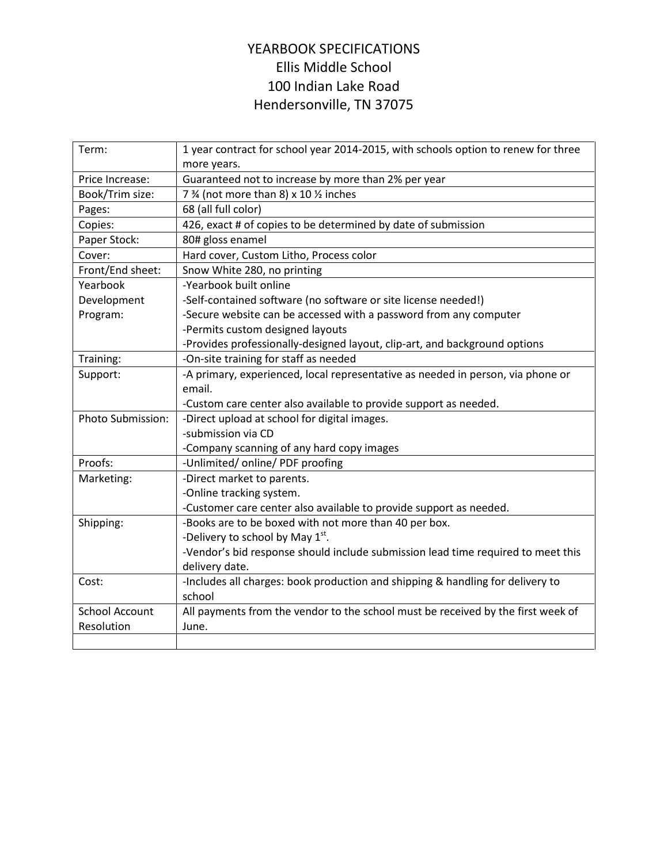## YEARBOOK SPECIFICATIONS Ellis Middle School 100 Indian Lake Road Hendersonville, TN 37075

| Term:                 | 1 year contract for school year 2014-2015, with schools option to renew for three<br>more years. |
|-----------------------|--------------------------------------------------------------------------------------------------|
| Price Increase:       | Guaranteed not to increase by more than 2% per year                                              |
| Book/Trim size:       | 7 % (not more than 8) x 10 % inches                                                              |
| Pages:                | 68 (all full color)                                                                              |
| Copies:               | 426, exact # of copies to be determined by date of submission                                    |
| Paper Stock:          | 80# gloss enamel                                                                                 |
| Cover:                | Hard cover, Custom Litho, Process color                                                          |
| Front/End sheet:      | Snow White 280, no printing                                                                      |
| Yearbook              | -Yearbook built online                                                                           |
| Development           | -Self-contained software (no software or site license needed!)                                   |
| Program:              | -Secure website can be accessed with a password from any computer                                |
|                       | -Permits custom designed layouts                                                                 |
|                       | -Provides professionally-designed layout, clip-art, and background options                       |
| Training:             | -On-site training for staff as needed                                                            |
| Support:              | -A primary, experienced, local representative as needed in person, via phone or                  |
|                       | email.                                                                                           |
|                       | -Custom care center also available to provide support as needed.                                 |
| Photo Submission:     | -Direct upload at school for digital images.                                                     |
|                       | -submission via CD                                                                               |
|                       | -Company scanning of any hard copy images                                                        |
| Proofs:               | -Unlimited/ online/ PDF proofing                                                                 |
| Marketing:            | -Direct market to parents.                                                                       |
|                       | -Online tracking system.                                                                         |
|                       | -Customer care center also available to provide support as needed.                               |
| Shipping:             | -Books are to be boxed with not more than 40 per box.                                            |
|                       | -Delivery to school by May $1^{st}$ .                                                            |
|                       | -Vendor's bid response should include submission lead time required to meet this                 |
|                       | delivery date.                                                                                   |
| Cost:                 | -Includes all charges: book production and shipping & handling for delivery to                   |
|                       | school                                                                                           |
| <b>School Account</b> | All payments from the vendor to the school must be received by the first week of                 |
| Resolution            | June.                                                                                            |
|                       |                                                                                                  |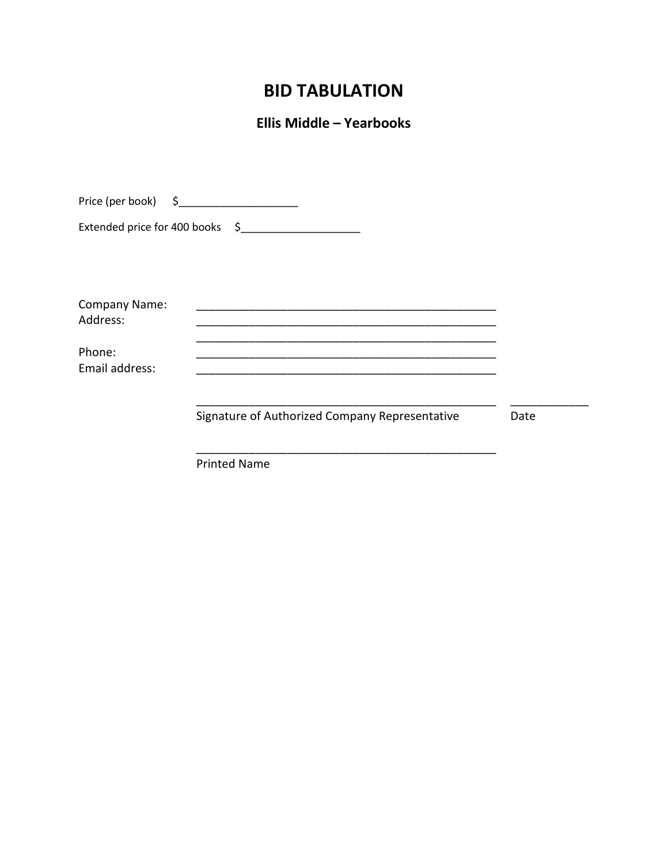# **BID TABULATION**

**Ellis Middle - Yearbooks** 

| Price (per book) $\begin{matrix} 5 \end{matrix}$ $\begin{matrix} 2 \end{matrix}$ |                                                |      |
|----------------------------------------------------------------------------------|------------------------------------------------|------|
|                                                                                  | Extended price for 400 books \$                |      |
| Company Name:<br>Address:                                                        |                                                |      |
| Phone:<br>Email address:                                                         |                                                |      |
|                                                                                  | Signature of Authorized Company Representative | Date |
|                                                                                  | <b>Printed Name</b>                            |      |